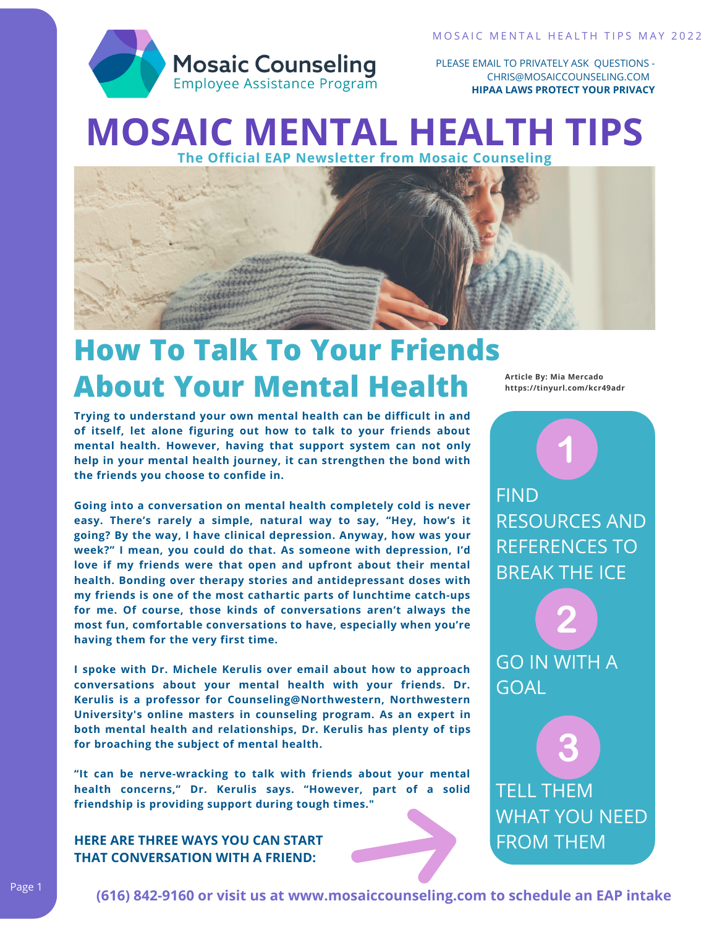

PLEASE EMAIL TO PRIVATELY ASK QUESTIONS - CHRIS@MOSAICCOUNSELING.COM **HIPAA LAWS PROTECT YOUR PRIVACY**

## **MOSAIC MENTAL HEALTH TIPS The Official EAP Newsletter from Mosaic Counseling**



# **How To Talk To Your Friends About Your Mental Health**

**Trying to understand your own mental health can be difficult in and of itself, let alone figuring out how to talk to your friends about mental health. [However,](https://www.bustle.com/p/how-to-talk-to-a-friend-about-their-mental-health-even-when-its-awkward-according-to-these-youtubers-7932702) having that support system can not only help in your mental health journey, it can strengthen the bond with the friends you choose to confide in.**

**Going into a conversation on mental health completely cold is never easy. There's rarely a simple, natural way to say, "Hey, how's it going? By the way, I have clinical depression. Anyway, how was your week?" I mean, you could do that. As someone with depression, I'd love if my friends were that open and upfront about their mental health. Bonding over therapy stories and antidepressant doses with my friends is one of the most cathartic parts of lunchtime catch-ups for me. Of course, those kinds of conversations aren't always the most fun, comfortable conversations to have, especially when you're having them for the very first time.**

**I spoke with Dr. Michele Kerulis over email about how to approach conversations about your mental health with your friends. Dr. Kerulis is a professor for [Counseling@Northwestern,](https://counseling.northwestern.edu/) Northwestern University's online masters in counseling program. As an expert in both mental health and relationships, Dr. Kerulis has plenty of tips for broaching the subject of mental health.**

**"It can be nerve-wracking to talk with friends about your mental health concerns," Dr. Kerulis says. "However, part of a solid friendship is providing support during tough times."**

#### **HERE ARE THREE WAYS YOU CAN START THAT CONVERSATION WITH A FRIEND:**

**Article By: Mia [Mercado](https://www.bustle.com/profile/mia-mercado-1912602) https://tinyurl.com/kcr49adr**

FIND RESOURCES AND REFERENCES TO BREAK THE ICE

GO IN WITH A GOAL

TELL THEM WHAT YOU NEED FROM THEM

3

**(616) 842-9160 or visit us at www.mosaiccounseling.com to schedule an EAP intake**